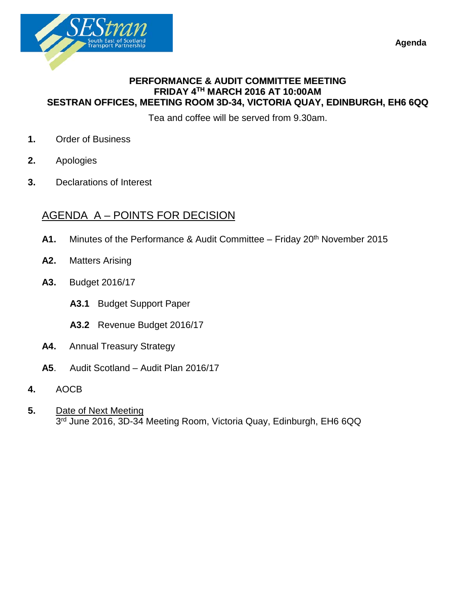**Agenda** 



### **PERFORMANCE & AUDIT COMMITTEE MEETING FRIDAY 4TH MARCH 2016 AT 10:00AM SESTRAN OFFICES, MEETING ROOM 3D-34, VICTORIA QUAY, EDINBURGH, EH6 6QQ**

Tea and coffee will be served from 9.30am.

- **1.** Order of Business
- **2.** Apologies
- **3.** Declarations of Interest

### AGENDA A – POINTS FOR DECISION

- **A1.** Minutes of the Performance & Audit Committee Friday 20th November 2015
- **A2.** Matters Arising
- **A3.** Budget 2016/17
	- **A3.1** Budget Support Paper
	- **A3.2** Revenue Budget 2016/17
- **A4.** Annual Treasury Strategy
- **A5**. Audit Scotland Audit Plan 2016/17
- **4.** AOCB
- **5.** Date of Next Meeting 3<sup>rd</sup> June 2016, 3D-34 Meeting Room, Victoria Quay, Edinburgh, EH6 6QQ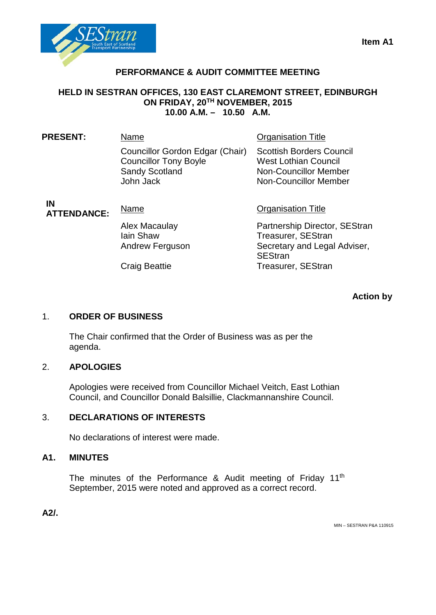

### **PERFORMANCE & AUDIT COMMITTEE MEETING**

### **HELD IN SESTRAN OFFICES, 130 EAST CLAREMONT STREET, EDINBURGH ON FRIDAY, 20TH NOVEMBER, 2015 10.00 A.M. – 10.50 A.M.**

| <b>PRESENT:</b>          | Name                                                                                                  | <b>Organisation Title</b>                                                                                                      |  |
|--------------------------|-------------------------------------------------------------------------------------------------------|--------------------------------------------------------------------------------------------------------------------------------|--|
|                          | Councillor Gordon Edgar (Chair)<br><b>Councillor Tony Boyle</b><br><b>Sandy Scotland</b><br>John Jack | <b>Scottish Borders Council</b><br><b>West Lothian Council</b><br><b>Non-Councillor Member</b><br><b>Non-Councillor Member</b> |  |
| IN<br><b>ATTENDANCE:</b> | Name                                                                                                  | <b>Organisation Title</b>                                                                                                      |  |
|                          | Alex Macaulay<br>lain Shaw<br>Andrew Ferguson                                                         | Partnership Director, SEStran<br><b>Treasurer, SEStran</b><br>Secretary and Legal Adviser,<br><b>SEStran</b>                   |  |
|                          | <b>Craig Beattie</b>                                                                                  | <b>Treasurer, SEStran</b>                                                                                                      |  |

**Action by**

### 1. **ORDER OF BUSINESS**

The Chair confirmed that the Order of Business was as per the agenda.

### 2. **APOLOGIES**

Apologies were received from Councillor Michael Veitch, East Lothian Council, and Councillor Donald Balsillie, Clackmannanshire Council.

### 3. **DECLARATIONS OF INTERESTS**

No declarations of interest were made.

### **A1. MINUTES**

The minutes of the Performance & Audit meeting of Friday  $11<sup>th</sup>$ September, 2015 were noted and approved as a correct record.

**A2/.**

MIN – SESTRAN P&A 110915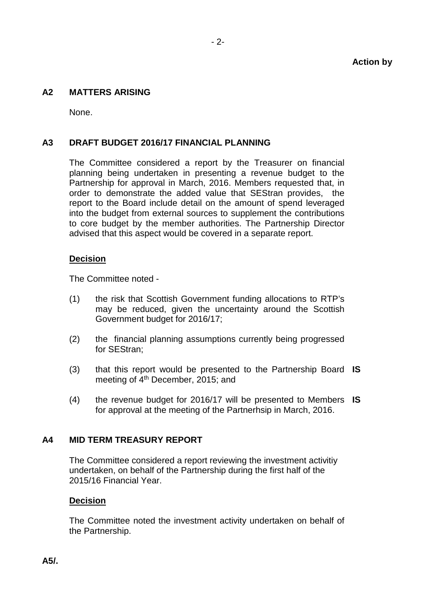### **A2 MATTERS ARISING**

None.

#### **A3 DRAFT BUDGET 2016/17 FINANCIAL PLANNING**

The Committee considered a report by the Treasurer on financial planning being undertaken in presenting a revenue budget to the Partnership for approval in March, 2016. Members requested that, in order to demonstrate the added value that SEStran provides, the report to the Board include detail on the amount of spend leveraged into the budget from external sources to supplement the contributions to core budget by the member authorities. The Partnership Director advised that this aspect would be covered in a separate report.

#### **Decision**

The Committee noted -

- (1) the risk that Scottish Government funding allocations to RTP's may be reduced, given the uncertainty around the Scottish Government budget for 2016/17;
- (2) the financial planning assumptions currently being progressed for SEStran;
- (3) that this report would be presented to the Partnership Board **IS** meeting of  $4<sup>th</sup>$  December, 2015; and
- (4) the revenue budget for 2016/17 will be presented to Members **IS** for approval at the meeting of the Partnerhsip in March, 2016.

#### **A4 MID TERM TREASURY REPORT**

The Committee considered a report reviewing the investment activitiy undertaken, on behalf of the Partnership during the first half of the 2015/16 Financial Year.

#### **Decision**

The Committee noted the investment activity undertaken on behalf of the Partnership.

**A5/.**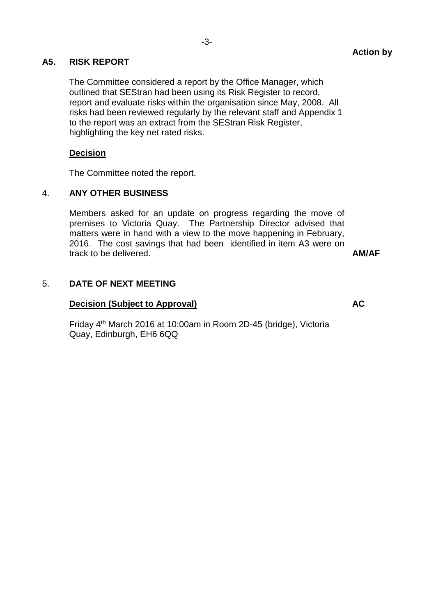### **A5. RISK REPORT**

The Committee considered a report by the Office Manager, which outlined that SEStran had been using its Risk Register to record, report and evaluate risks within the organisation since May, 2008. All risks had been reviewed regularly by the relevant staff and Appendix 1 to the report was an extract from the SEStran Risk Register, highlighting the key net rated risks.

### **Decision**

The Committee noted the report.

### 4. **ANY OTHER BUSINESS**

Members asked for an update on progress regarding the move of premises to Victoria Quay. The Partnership Director advised that matters were in hand with a view to the move happening in February, 2016. The cost savings that had been identified in item A3 were on track to be delivered. **AM/AF**

### 5. **DATE OF NEXT MEETING**

### **Decision (Subject to Approval) AC**

Friday 4th March 2016 at 10:00am in Room 2D-45 (bridge), Victoria Quay, Edinburgh, EH6 6QQ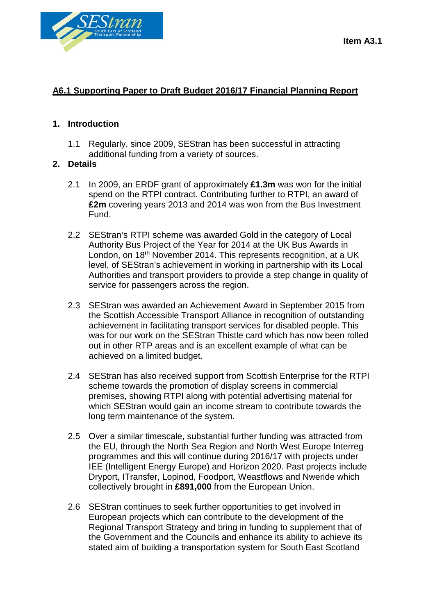



### **A6.1 Supporting Paper to Draft Budget 2016/17 Financial Planning Report**

### **1. Introduction**

1.1 Regularly, since 2009, SEStran has been successful in attracting additional funding from a variety of sources.

### **2. Details**

- 2.1 In 2009, an ERDF grant of approximately **£1.3m** was won for the initial spend on the RTPI contract. Contributing further to RTPI, an award of **£2m** covering years 2013 and 2014 was won from the Bus Investment Fund.
- 2.2 SEStran's RTPI scheme was awarded Gold in the category of Local Authority Bus Project of the Year for 2014 at the UK Bus Awards in London, on 18<sup>th</sup> November 2014. This represents recognition, at a UK level, of SEStran's achievement in working in partnership with its Local Authorities and transport providers to provide a step change in quality of service for passengers across the region.
- 2.3 SEStran was awarded an Achievement Award in September 2015 from the Scottish Accessible Transport Alliance in recognition of outstanding achievement in facilitating transport services for disabled people. This was for our work on the SEStran Thistle card which has now been rolled out in other RTP areas and is an excellent example of what can be achieved on a limited budget.
- 2.4 SEStran has also received support from Scottish Enterprise for the RTPI scheme towards the promotion of display screens in commercial premises, showing RTPI along with potential advertising material for which SEStran would gain an income stream to contribute towards the long term maintenance of the system.
- 2.5 Over a similar timescale, substantial further funding was attracted from the EU, through the North Sea Region and North West Europe Interreg programmes and this will continue during 2016/17 with projects under IEE (Intelligent Energy Europe) and Horizon 2020. Past projects include Dryport, ITransfer, Lopinod, Foodport, Weastflows and Nweride which collectively brought in **£891,000** from the European Union.
- 2.6 SEStran continues to seek further opportunities to get involved in European projects which can contribute to the development of the Regional Transport Strategy and bring in funding to supplement that of the Government and the Councils and enhance its ability to achieve its stated aim of building a transportation system for South East Scotland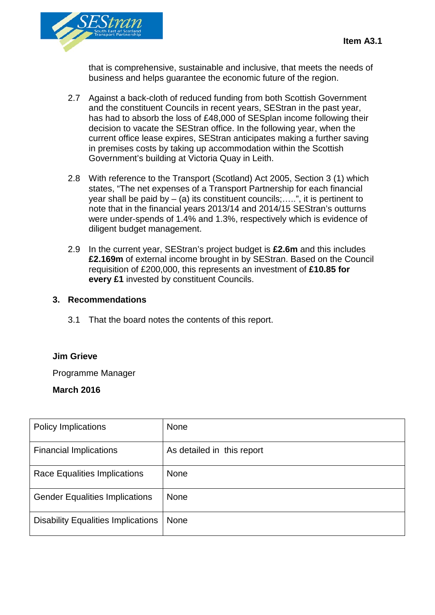

that is comprehensive, sustainable and inclusive, that meets the needs of business and helps guarantee the economic future of the region.

- 2.7 Against a back-cloth of reduced funding from both Scottish Government and the constituent Councils in recent years, SEStran in the past year, has had to absorb the loss of £48,000 of SESplan income following their decision to vacate the SEStran office. In the following year, when the current office lease expires, SEStran anticipates making a further saving in premises costs by taking up accommodation within the Scottish Government's building at Victoria Quay in Leith.
- 2.8 With reference to the Transport (Scotland) Act 2005, Section 3 (1) which states, "The net expenses of a Transport Partnership for each financial year shall be paid by  $-$  (a) its constituent councils;.....", it is pertinent to note that in the financial years 2013/14 and 2014/15 SEStran's outturns were under-spends of 1.4% and 1.3%, respectively which is evidence of diligent budget management.
- 2.9 In the current year, SEStran's project budget is **£2.6m** and this includes **£2.169m** of external income brought in by SEStran. Based on the Council requisition of £200,000, this represents an investment of **£10.85 for every £1** invested by constituent Councils.

### **3. Recommendations**

3.1 That the board notes the contents of this report.

### **Jim Grieve**

Programme Manager

### **March 2016**

| <b>Policy Implications</b>                | <b>None</b>                |
|-------------------------------------------|----------------------------|
| <b>Financial Implications</b>             | As detailed in this report |
| Race Equalities Implications              | <b>None</b>                |
| <b>Gender Equalities Implications</b>     | <b>None</b>                |
| <b>Disability Equalities Implications</b> | None                       |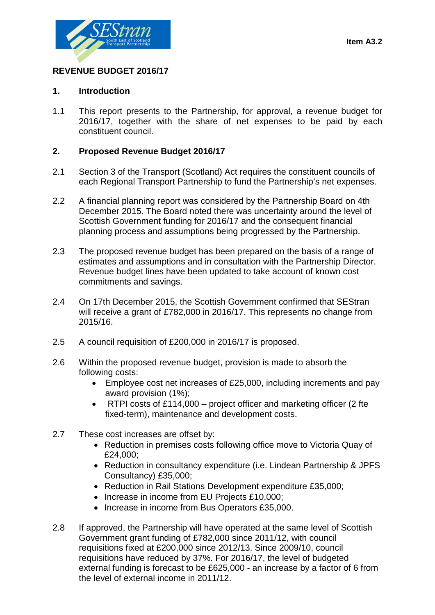

### **REVENUE BUDGET 2016/17**

### **1. Introduction**

1.1 This report presents to the Partnership, for approval, a revenue budget for 2016/17, together with the share of net expenses to be paid by each constituent council.

### **2. Proposed Revenue Budget 2016/17**

- 2.1 Section 3 of the Transport (Scotland) Act requires the constituent councils of each Regional Transport Partnership to fund the Partnership's net expenses.
- 2.2 A financial planning report was considered by the Partnership Board on 4th December 2015. The Board noted there was uncertainty around the level of Scottish Government funding for 2016/17 and the consequent financial planning process and assumptions being progressed by the Partnership.
- 2.3 The proposed revenue budget has been prepared on the basis of a range of estimates and assumptions and in consultation with the Partnership Director. Revenue budget lines have been updated to take account of known cost commitments and savings.
- 2.4 On 17th December 2015, the Scottish Government confirmed that SEStran will receive a grant of £782,000 in 2016/17. This represents no change from 2015/16.
- 2.5 A council requisition of £200,000 in 2016/17 is proposed.
- 2.6 Within the proposed revenue budget, provision is made to absorb the following costs:
	- Employee cost net increases of £25,000, including increments and pay award provision (1%);
	- RTPI costs of £114,000 project officer and marketing officer (2 fte fixed-term), maintenance and development costs.
- 2.7 These cost increases are offset by:
	- Reduction in premises costs following office move to Victoria Quay of £24,000;
	- Reduction in consultancy expenditure (i.e. Lindean Partnership & JPFS Consultancy) £35,000;
	- Reduction in Rail Stations Development expenditure £35,000;
	- Increase in income from EU Projects £10,000;
	- Increase in income from Bus Operators £35,000.
- 2.8 If approved, the Partnership will have operated at the same level of Scottish Government grant funding of £782,000 since 2011/12, with council requisitions fixed at £200,000 since 2012/13. Since 2009/10, council requisitions have reduced by 37%. For 2016/17, the level of budgeted external funding is forecast to be £625,000 - an increase by a factor of 6 from the level of external income in 2011/12.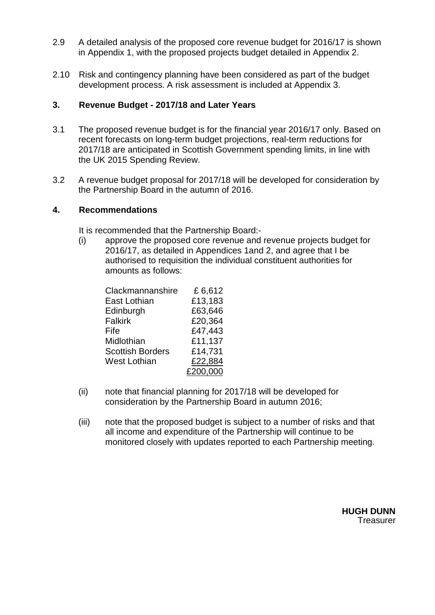- 2.9 A detailed analysis of the proposed core revenue budget for 2016/17 is shown in Appendix 1, with the proposed projects budget detailed in Appendix 2.
- 2.10 Risk and contingency planning have been considered as part of the budget development process. A risk assessment is included at Appendix 3.

### **3. Revenue Budget - 2017/18 and Later Years**

- 3.1 The proposed revenue budget is for the financial year 2016/17 only. Based on recent forecasts on long-term budget projections, real-term reductions for 2017/18 are anticipated in Scottish Government spending limits, in line with the UK 2015 Spending Review.
- 3.2 A revenue budget proposal for 2017/18 will be developed for consideration by the Partnership Board in the autumn of 2016.

### **4. Recommendations**

It is recommended that the Partnership Board:-

(i) approve the proposed core revenue and revenue projects budget for 2016/17, as detailed in Appendices 1and 2, and agree that I be authorised to requisition the individual constituent authorities for amounts as follows:

| Clackmannanshire        | £6,612   |
|-------------------------|----------|
| East Lothian            | £13,183  |
| Edinburgh               | £63,646  |
| <b>Falkirk</b>          | £20,364  |
| Fife                    | £47,443  |
| Midlothian              | £11,137  |
| <b>Scottish Borders</b> | £14,731  |
| <b>West Lothian</b>     | £22,884  |
|                         | £200,000 |

- (ii) note that financial planning for 2017/18 will be developed for consideration by the Partnership Board in autumn 2016;
- (iii) note that the proposed budget is subject to a number of risks and that all income and expenditure of the Partnership will continue to be monitored closely with updates reported to each Partnership meeting.

**HUGH DUNN Treasurer**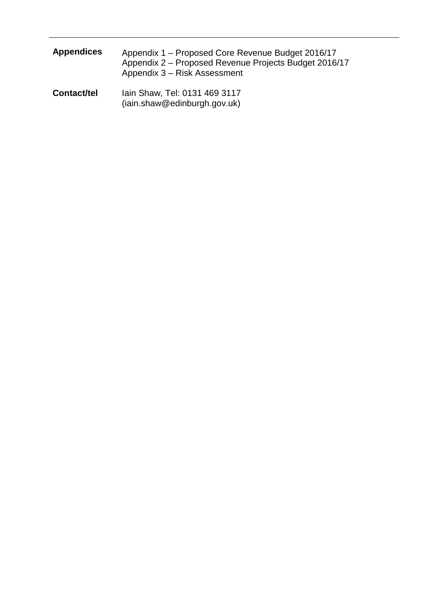| <b>Appendices</b>  | Appendix 1 – Proposed Core Revenue Budget 2016/17<br>Appendix 2 – Proposed Revenue Projects Budget 2016/17<br>Appendix 3 – Risk Assessment |  |
|--------------------|--------------------------------------------------------------------------------------------------------------------------------------------|--|
| <b>Contact/tel</b> | Iain Shaw, Tel: 0131 469 3117                                                                                                              |  |

(iain.shaw@edinburgh.gov.uk)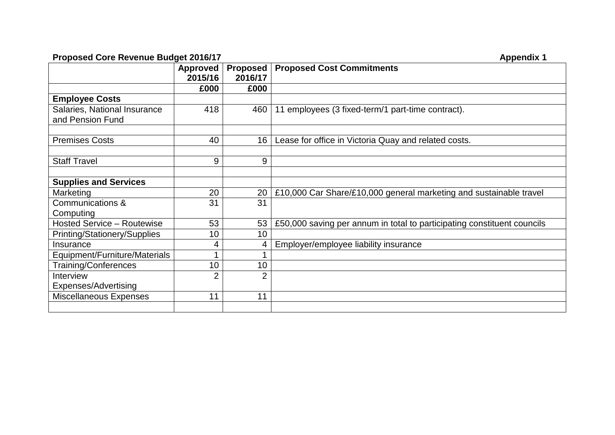### **Proposed Core Revenue Budget 2016/17 Appendix 1 Appendix 1**

|                                   | <b>Approved</b><br>2015/16 | <b>Proposed</b><br>2016/17 | <b>Proposed Cost Commitments</b>                                        |
|-----------------------------------|----------------------------|----------------------------|-------------------------------------------------------------------------|
|                                   | £000                       | £000                       |                                                                         |
| <b>Employee Costs</b>             |                            |                            |                                                                         |
| Salaries, National Insurance      | 418                        | 460                        | 11 employees (3 fixed-term/1 part-time contract).                       |
| and Pension Fund                  |                            |                            |                                                                         |
|                                   |                            |                            |                                                                         |
| <b>Premises Costs</b>             | 40                         | 16                         | Lease for office in Victoria Quay and related costs.                    |
|                                   |                            |                            |                                                                         |
| <b>Staff Travel</b>               | 9                          | 9                          |                                                                         |
|                                   |                            |                            |                                                                         |
| <b>Supplies and Services</b>      |                            |                            |                                                                         |
| Marketing                         | 20                         | 20                         | £10,000 Car Share/£10,000 general marketing and sustainable travel      |
| Communications &                  | 31                         | 31                         |                                                                         |
| Computing                         |                            |                            |                                                                         |
| <b>Hosted Service - Routewise</b> | 53                         | 53                         | £50,000 saving per annum in total to participating constituent councils |
| Printing/Stationery/Supplies      | 10                         | 10                         |                                                                         |
| Insurance                         | 4                          | 4                          | Employer/employee liability insurance                                   |
| Equipment/Furniture/Materials     | 4                          |                            |                                                                         |
| <b>Training/Conferences</b>       | 10                         | 10                         |                                                                         |
| Interview                         | $\overline{2}$             | $\overline{2}$             |                                                                         |
| Expenses/Advertising              |                            |                            |                                                                         |
| Miscellaneous Expenses            | 11                         | 11                         |                                                                         |
|                                   |                            |                            |                                                                         |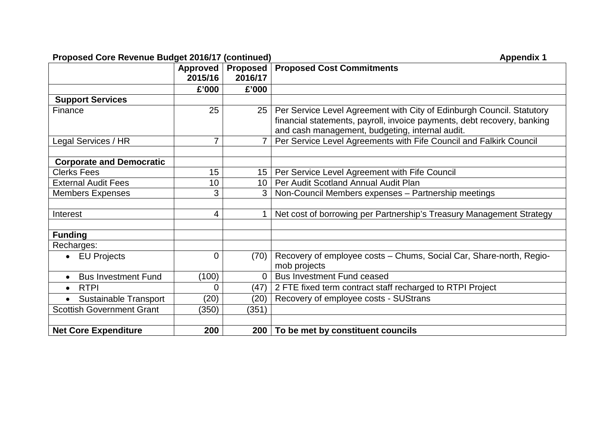### **Proposed Core Revenue Budget 2016/17 (continued) Appendix 1 Appendix 1**

|                                         | <b>Approved</b><br>2015/16 | <b>Proposed</b><br>2016/17 | <b>Proposed Cost Commitments</b>                                                                                                                                                                    |  |
|-----------------------------------------|----------------------------|----------------------------|-----------------------------------------------------------------------------------------------------------------------------------------------------------------------------------------------------|--|
|                                         | £'000                      | £'000                      |                                                                                                                                                                                                     |  |
| <b>Support Services</b>                 |                            |                            |                                                                                                                                                                                                     |  |
| Finance                                 | 25                         | 25 <sup>1</sup>            | Per Service Level Agreement with City of Edinburgh Council. Statutory<br>financial statements, payroll, invoice payments, debt recovery, banking<br>and cash management, budgeting, internal audit. |  |
| Legal Services / HR                     | $\overline{7}$             |                            | Per Service Level Agreements with Fife Council and Falkirk Council                                                                                                                                  |  |
|                                         |                            |                            |                                                                                                                                                                                                     |  |
| <b>Corporate and Democratic</b>         |                            |                            |                                                                                                                                                                                                     |  |
| <b>Clerks Fees</b>                      | 15                         | 15 <sub>1</sub>            | Per Service Level Agreement with Fife Council                                                                                                                                                       |  |
| <b>External Audit Fees</b>              | 10                         | 10 <sup>1</sup>            | Per Audit Scotland Annual Audit Plan                                                                                                                                                                |  |
| <b>Members Expenses</b>                 | 3                          | 3                          | Non-Council Members expenses - Partnership meetings                                                                                                                                                 |  |
|                                         |                            |                            |                                                                                                                                                                                                     |  |
| Interest                                | 4                          |                            | Net cost of borrowing per Partnership's Treasury Management Strategy                                                                                                                                |  |
|                                         |                            |                            |                                                                                                                                                                                                     |  |
| <b>Funding</b>                          |                            |                            |                                                                                                                                                                                                     |  |
| Recharges:                              |                            |                            |                                                                                                                                                                                                     |  |
| <b>EU Projects</b><br>$\bullet$         | $\overline{0}$             | (70)                       | Recovery of employee costs - Chums, Social Car, Share-north, Regio-<br>mob projects                                                                                                                 |  |
| <b>Bus Investment Fund</b><br>$\bullet$ | (100)                      | $\Omega$                   | <b>Bus Investment Fund ceased</b>                                                                                                                                                                   |  |
| <b>RTPI</b><br>$\bullet$                | $\overline{0}$             | (47)                       | 2 FTE fixed term contract staff recharged to RTPI Project                                                                                                                                           |  |
| <b>Sustainable Transport</b>            | (20)                       | (20)                       | Recovery of employee costs - SUStrans                                                                                                                                                               |  |
| <b>Scottish Government Grant</b>        | (350)                      | (351)                      |                                                                                                                                                                                                     |  |
|                                         |                            |                            |                                                                                                                                                                                                     |  |
| <b>Net Core Expenditure</b>             | 200                        | 200                        | To be met by constituent councils                                                                                                                                                                   |  |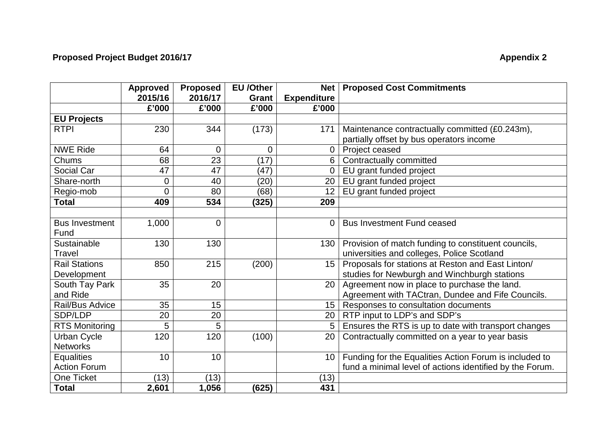# **Proposed Project Budget 2016/17** Appendix 2

|                       | <b>Approved</b> | <b>Proposed</b> | <b>EU</b> /Other | Net                | <b>Proposed Cost Commitments</b>                         |
|-----------------------|-----------------|-----------------|------------------|--------------------|----------------------------------------------------------|
|                       | 2015/16         | 2016/17         | Grant            | <b>Expenditure</b> |                                                          |
|                       | £'000           | £'000           | £'000            | £'000              |                                                          |
| <b>EU Projects</b>    |                 |                 |                  |                    |                                                          |
| <b>RTPI</b>           | 230             | 344             | (173)            | 171                | Maintenance contractually committed (£0.243m),           |
|                       |                 |                 |                  |                    | partially offset by bus operators income                 |
| <b>NWE Ride</b>       | 64              | $\mathbf 0$     | $\overline{0}$   | $\mathbf 0$        | Project ceased                                           |
| Chums                 | 68              | 23              | (17)             | 6                  | Contractually committed                                  |
| Social Car            | 47              | 47              | (47)             | 0                  | EU grant funded project                                  |
| Share-north           | $\overline{0}$  | 40              | (20)             | 20                 | EU grant funded project                                  |
| Regio-mob             | 0               | 80              | (68)             | 12                 | EU grant funded project                                  |
| <b>Total</b>          | 409             | 534             | (325)            | 209                |                                                          |
|                       |                 |                 |                  |                    |                                                          |
| <b>Bus Investment</b> | 1,000           | $\overline{0}$  |                  | $\Omega$           | <b>Bus Investment Fund ceased</b>                        |
| Fund                  |                 |                 |                  |                    |                                                          |
| Sustainable           | 130             | 130             |                  | 130                | Provision of match funding to constituent councils,      |
| Travel                |                 |                 |                  |                    | universities and colleges, Police Scotland               |
| <b>Rail Stations</b>  | 850             | 215             | (200)            | 15                 | Proposals for stations at Reston and East Linton/        |
| Development           |                 |                 |                  |                    | studies for Newburgh and Winchburgh stations             |
| South Tay Park        | 35              | 20              |                  | 20                 | Agreement now in place to purchase the land.             |
| and Ride              |                 |                 |                  |                    | Agreement with TACtran, Dundee and Fife Councils.        |
| Rail/Bus Advice       | 35              | 15              |                  | 15                 | Responses to consultation documents                      |
| SDP/LDP               | 20              | 20              |                  | 20                 | RTP input to LDP's and SDP's                             |
| <b>RTS Monitoring</b> | 5               | 5               |                  | 5                  | Ensures the RTS is up to date with transport changes     |
| <b>Urban Cycle</b>    | 120             | 120             | (100)            | 20                 | Contractually committed on a year to year basis          |
| <b>Networks</b>       |                 |                 |                  |                    |                                                          |
| <b>Equalities</b>     | 10              | 10              |                  | 10                 | Funding for the Equalities Action Forum is included to   |
| <b>Action Forum</b>   |                 |                 |                  |                    | fund a minimal level of actions identified by the Forum. |
| <b>One Ticket</b>     | (13)            | (13)            |                  | (13)               |                                                          |
| <b>Total</b>          | 2,601           | 1,056           | (625)            | 431                |                                                          |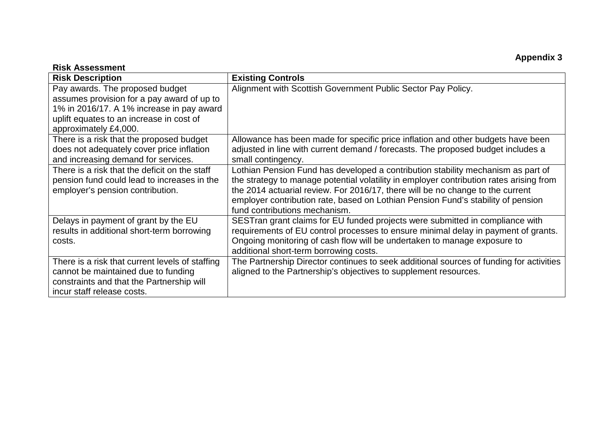### **Appendix 3**

### **Risk Assessment**

| <b>Risk Description</b>                                                                                                                                                                         | <b>Existing Controls</b>                                                                                                                                                                                                                                                                                                                                                           |
|-------------------------------------------------------------------------------------------------------------------------------------------------------------------------------------------------|------------------------------------------------------------------------------------------------------------------------------------------------------------------------------------------------------------------------------------------------------------------------------------------------------------------------------------------------------------------------------------|
| Pay awards. The proposed budget<br>assumes provision for a pay award of up to<br>1% in 2016/17. A 1% increase in pay award<br>uplift equates to an increase in cost of<br>approximately £4,000. | Alignment with Scottish Government Public Sector Pay Policy.                                                                                                                                                                                                                                                                                                                       |
| There is a risk that the proposed budget<br>does not adequately cover price inflation<br>and increasing demand for services.                                                                    | Allowance has been made for specific price inflation and other budgets have been<br>adjusted in line with current demand / forecasts. The proposed budget includes a<br>small contingency.                                                                                                                                                                                         |
| There is a risk that the deficit on the staff<br>pension fund could lead to increases in the<br>employer's pension contribution.                                                                | Lothian Pension Fund has developed a contribution stability mechanism as part of<br>the strategy to manage potential volatility in employer contribution rates arising from<br>the 2014 actuarial review. For 2016/17, there will be no change to the current<br>employer contribution rate, based on Lothian Pension Fund's stability of pension<br>fund contributions mechanism. |
| Delays in payment of grant by the EU<br>results in additional short-term borrowing<br>costs.                                                                                                    | SESTran grant claims for EU funded projects were submitted in compliance with<br>requirements of EU control processes to ensure minimal delay in payment of grants.<br>Ongoing monitoring of cash flow will be undertaken to manage exposure to<br>additional short-term borrowing costs.                                                                                          |
| There is a risk that current levels of staffing<br>cannot be maintained due to funding<br>constraints and that the Partnership will<br>incur staff release costs.                               | The Partnership Director continues to seek additional sources of funding for activities<br>aligned to the Partnership's objectives to supplement resources.                                                                                                                                                                                                                        |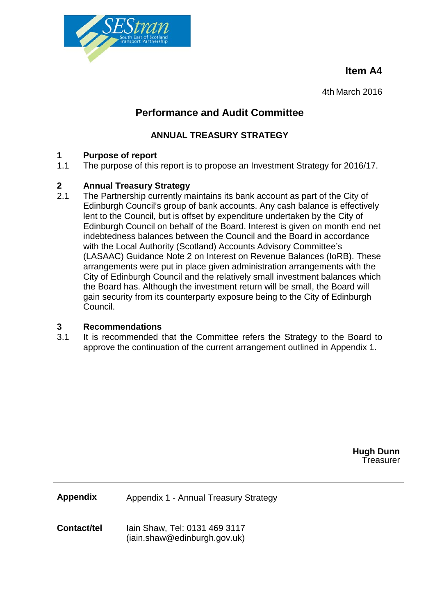**Item A4**



4th March 2016

## **Performance and Audit Committee**

### **ANNUAL TREASURY STRATEGY**

# **1 Purpose of report**

The purpose of this report is to propose an Investment Strategy for 2016/17.

# **2 Annual Treasury Strategy**

The Partnership currently maintains its bank account as part of the City of Edinburgh Council's group of bank accounts. Any cash balance is effectively lent to the Council, but is offset by expenditure undertaken by the City of Edinburgh Council on behalf of the Board. Interest is given on month end net indebtedness balances between the Council and the Board in accordance with the Local Authority (Scotland) Accounts Advisory Committee's (LASAAC) Guidance Note 2 on Interest on Revenue Balances (IoRB). These arrangements were put in place given administration arrangements with the City of Edinburgh Council and the relatively small investment balances which the Board has. Although the investment return will be small, the Board will gain security from its counterparty exposure being to the City of Edinburgh Council.

# **3 Recommendations**

It is recommended that the Committee refers the Strategy to the Board to approve the continuation of the current arrangement outlined in Appendix 1.

> **Hugh Dunn Treasurer**

**Appendix** Appendix 1 - Annual Treasury Strategy

**Contact/tel** Iain Shaw, Tel: 0131 469 3117 (iain.shaw@edinburgh.gov.uk)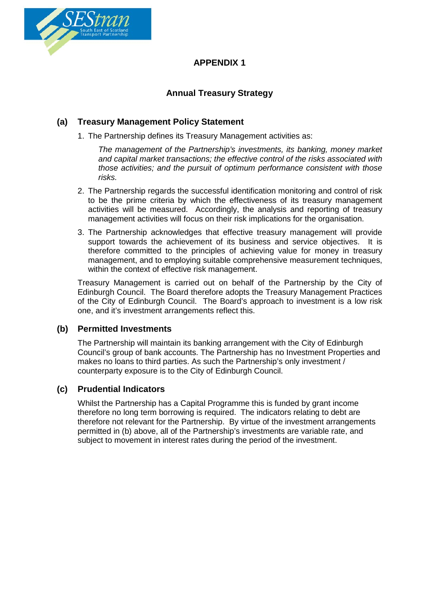

### **APPENDIX 1**

### **Annual Treasury Strategy**

### **(a) Treasury Management Policy Statement**

1. The Partnership defines its Treasury Management activities as:

*The management of the Partnership's investments, its banking, money market and capital market transactions; the effective control of the risks associated with those activities; and the pursuit of optimum performance consistent with those risks.*

- 2. The Partnership regards the successful identification monitoring and control of risk to be the prime criteria by which the effectiveness of its treasury management activities will be measured. Accordingly, the analysis and reporting of treasury management activities will focus on their risk implications for the organisation.
- 3. The Partnership acknowledges that effective treasury management will provide support towards the achievement of its business and service objectives. It is therefore committed to the principles of achieving value for money in treasury management, and to employing suitable comprehensive measurement techniques, within the context of effective risk management.

Treasury Management is carried out on behalf of the Partnership by the City of Edinburgh Council. The Board therefore adopts the Treasury Management Practices of the City of Edinburgh Council. The Board's approach to investment is a low risk one, and it's investment arrangements reflect this.

### **(b) Permitted Investments**

The Partnership will maintain its banking arrangement with the City of Edinburgh Council's group of bank accounts. The Partnership has no Investment Properties and makes no loans to third parties. As such the Partnership's only investment / counterparty exposure is to the City of Edinburgh Council.

### **(c) Prudential Indicators**

Whilst the Partnership has a Capital Programme this is funded by grant income therefore no long term borrowing is required. The indicators relating to debt are therefore not relevant for the Partnership. By virtue of the investment arrangements permitted in (b) above, all of the Partnership's investments are variable rate, and subject to movement in interest rates during the period of the investment.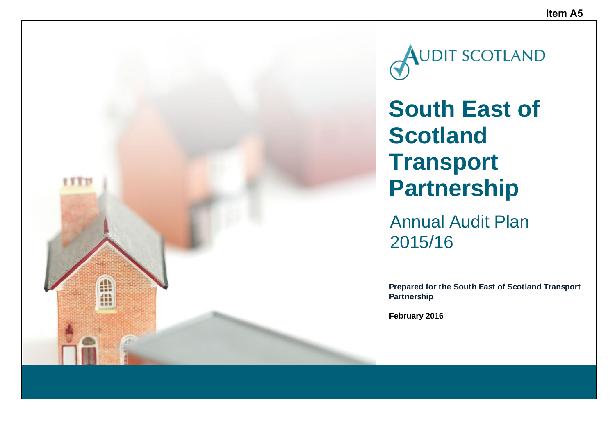

**AUDIT SCOTLAND** 

**South East of Scotland Transport Partnership**

Annual Audit Plan 2015/16

**Prepared for the South East of Scotland Transport**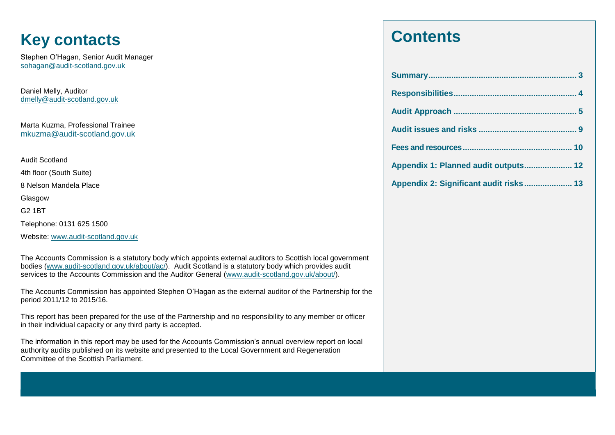# **Key contacts**

Stephen O'Hagan, Senior Audit Manager sohagan@audit-scotland.gov.uk

Daniel Melly, Auditor [dmelly@audit-scotland.gov.uk](mailto:dmelly@audit-scotland.gov.uk)

Marta Kuzma, Professional Trainee [mkuzma@audit-scotland.gov.uk](mailto:mkuzma@audit-scotland.gov.uk)

Audit Scotland

4th floor (South Suite)

8 Nelson Mandela Place

Glasgow

G2 1BT

Telephone: 0131 625 1500

Website: [www.audit-scotland.gov.uk](http://www.audit-scotland.gov.uk/)

The Accounts Commission is a statutory body which appoints external auditors to Scottish local government bodies [\(www.audit-scotland.gov.uk/about/ac/\)](http://www.audit-scotland.gov.uk/about/ac/). Audit Scotland is a statutory body which provides audit services to the Accounts Commission and the Auditor General [\(www.audit-scotland.gov.uk/about/\)](http://www.audit-scotland.gov.uk/about/).

The Accounts Commission has appointed Stephen O'Hagan as the external auditor of the Partnership for the period 2011/12 to 2015/16.

This report has been prepared for the use of the Partnership and no responsibility to any member or officer in their individual capacity or any third party is accepted.

The information in this report may be used for the Accounts Commission's annual overview report on local authority audits published on its website and presented to the Local Government and Regeneration Committee of the Scottish Parliament.

# **Contents**

| Appendix 1: Planned audit outputs 12   |  |
|----------------------------------------|--|
| Appendix 2: Significant audit risks 13 |  |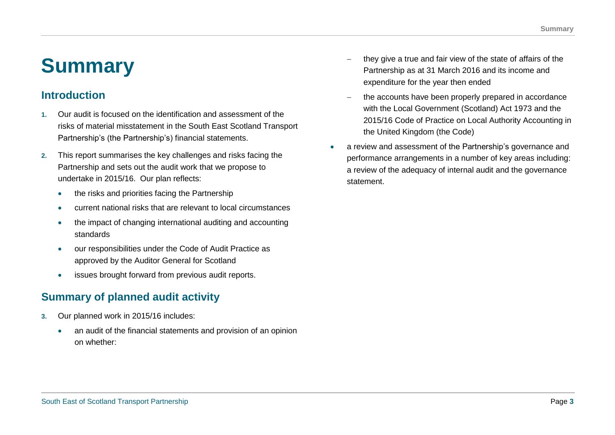# **Summary**

## **Introduction**

- **1.** Our audit is focused on the identification and assessment of the risks of material misstatement in the South East Scotland Transport Partnership's (the Partnership's) financial statements.
- **2.** This report summarises the key challenges and risks facing the Partnership and sets out the audit work that we propose to undertake in 2015/16. Our plan reflects:
	- the risks and priorities facing the Partnership
	- current national risks that are relevant to local circumstances
	- the impact of changing international auditing and accounting standards
	- our responsibilities under the Code of Audit Practice as approved by the Auditor General for Scotland
	- issues brought forward from previous audit reports.

# **Summary of planned audit activity**

- **3.** Our planned work in 2015/16 includes:
	- an audit of the financial statements and provision of an opinion on whether:
- they give a true and fair view of the state of affairs of the Partnership as at 31 March 2016 and its income and expenditure for the year then ended
- the accounts have been properly prepared in accordance with the Local Government (Scotland) Act 1973 and the 2015/16 Code of Practice on Local Authority Accounting in the United Kingdom (the Code)
- a review and assessment of the Partnership's governance and performance arrangements in a number of key areas including: a review of the adequacy of internal audit and the governance statement.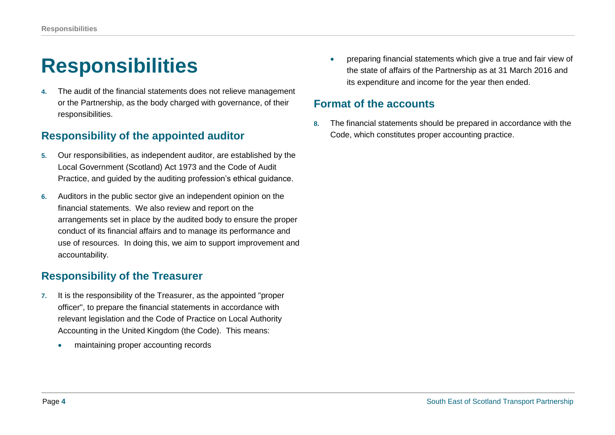# **Responsibilities**

**4.** The audit of the financial statements does not relieve management or the Partnership, as the body charged with governance, of their responsibilities.

# **Responsibility of the appointed auditor**

- **5.** Our responsibilities, as independent auditor, are established by the Local Government (Scotland) Act 1973 and the Code of Audit Practice, and guided by the auditing profession's ethical guidance.
- **6.** Auditors in the public sector give an independent opinion on the financial statements. We also review and report on the arrangements set in place by the audited body to ensure the proper conduct of its financial affairs and to manage its performance and use of resources. In doing this, we aim to support improvement and accountability.

# **Responsibility of the Treasurer**

- **7.** It is the responsibility of the Treasurer, as the appointed "proper officer", to prepare the financial statements in accordance with relevant legislation and the Code of Practice on Local Authority Accounting in the United Kingdom (the Code). This means:
	- maintaining proper accounting records

 preparing financial statements which give a true and fair view of the state of affairs of the Partnership as at 31 March 2016 and its expenditure and income for the year then ended.

### **Format of the accounts**

**8.** The financial statements should be prepared in accordance with the Code, which constitutes proper accounting practice.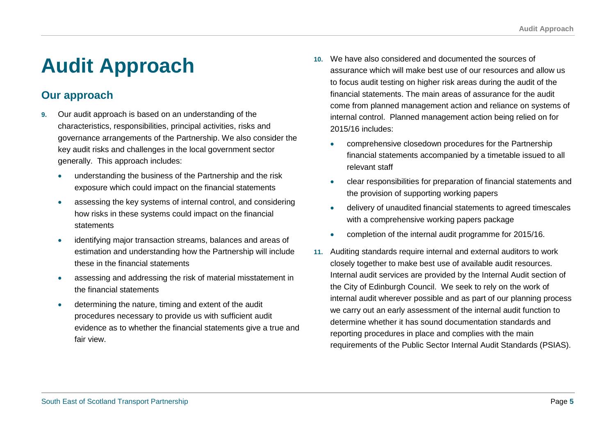# **Audit Approach**

# **Our approach**

- **9.** Our audit approach is based on an understanding of the characteristics, responsibilities, principal activities, risks and governance arrangements of the Partnership. We also consider the key audit risks and challenges in the local government sector generally. This approach includes:
	- understanding the business of the Partnership and the risk exposure which could impact on the financial statements
	- assessing the key systems of internal control, and considering how risks in these systems could impact on the financial statements
	- identifying major transaction streams, balances and areas of estimation and understanding how the Partnership will include these in the financial statements
	- assessing and addressing the risk of material misstatement in the financial statements
	- determining the nature, timing and extent of the audit procedures necessary to provide us with sufficient audit evidence as to whether the financial statements give a true and fair view.
- **10.** We have also considered and documented the sources of assurance which will make best use of our resources and allow us to focus audit testing on higher risk areas during the audit of the financial statements. The main areas of assurance for the audit come from planned management action and reliance on systems of internal control. Planned management action being relied on for 2015/16 includes:
	- comprehensive closedown procedures for the Partnership financial statements accompanied by a timetable issued to all relevant staff
	- clear responsibilities for preparation of financial statements and the provision of supporting working papers
	- delivery of unaudited financial statements to agreed timescales with a comprehensive working papers package
	- completion of the internal audit programme for 2015/16.
- **11.** Auditing standards require internal and external auditors to work closely together to make best use of available audit resources. Internal audit services are provided by the Internal Audit section of the City of Edinburgh Council. We seek to rely on the work of internal audit wherever possible and as part of our planning process we carry out an early assessment of the internal audit function to determine whether it has sound documentation standards and reporting procedures in place and complies with the main requirements of the Public Sector Internal Audit Standards (PSIAS).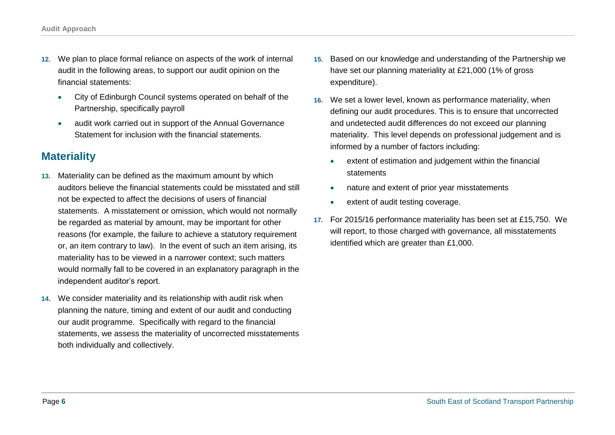- **12.** We plan to place formal reliance on aspects of the work of internal audit in the following areas, to support our audit opinion on the financial statements:
	- City of Edinburgh Council systems operated on behalf of the Partnership, specifically payroll
	- audit work carried out in support of the Annual Governance Statement for inclusion with the financial statements.

## **Materiality**

- **13.** Materiality can be defined as the maximum amount by which auditors believe the financial statements could be misstated and still not be expected to affect the decisions of users of financial statements. A misstatement or omission, which would not normally be regarded as material by amount, may be important for other reasons (for example, the failure to achieve a statutory requirement or, an item contrary to law). In the event of such an item arising, its materiality has to be viewed in a narrower context; such matters would normally fall to be covered in an explanatory paragraph in the independent auditor's report.
- **14.** We consider materiality and its relationship with audit risk when planning the nature, timing and extent of our audit and conducting our audit programme. Specifically with regard to the financial statements, we assess the materiality of uncorrected misstatements both individually and collectively.
- **15.** Based on our knowledge and understanding of the Partnership we have set our planning materiality at £21,000 (1% of gross expenditure).
- **16.** We set a lower level, known as performance materiality, when defining our audit procedures. This is to ensure that uncorrected and undetected audit differences do not exceed our planning materiality. This level depends on professional judgement and is informed by a number of factors including:
	- extent of estimation and judgement within the financial **statements**
	- nature and extent of prior year misstatements
	- extent of audit testing coverage.
- **17.** For 2015/16 performance materiality has been set at £15,750. We will report, to those charged with governance, all misstatements identified which are greater than £1,000.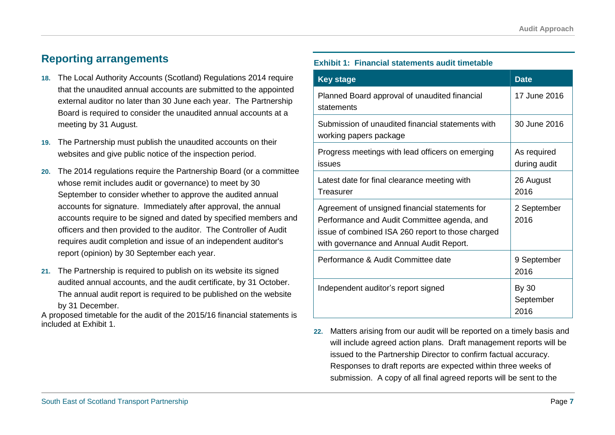## **Reporting arrangements**

- **18.** The Local Authority Accounts (Scotland) Regulations 2014 require that the unaudited annual accounts are submitted to the appointed external auditor no later than 30 June each year. The Partnership Board is required to consider the unaudited annual accounts at a meeting by 31 August.
- **19.** The Partnership must publish the unaudited accounts on their websites and give public notice of the inspection period.
- **20.** The 2014 regulations require the Partnership Board (or a committee whose remit includes audit or governance) to meet by 30 September to consider whether to approve the audited annual accounts for signature. Immediately after approval, the annual accounts require to be signed and dated by specified members and officers and then provided to the auditor. The Controller of Audit requires audit completion and issue of an independent auditor's report (opinion) by 30 September each year.
- **21.** The Partnership is required to publish on its website its signed audited annual accounts, and the audit certificate, by 31 October. The annual audit report is required to be published on the website by 31 December.

A proposed timetable for the audit of the 2015/16 financial statements is included at [Exhibit 1.](#page-21-0)

#### <span id="page-21-0"></span>**Exhibit 1: Financial statements audit timetable**

| <b>Key stage</b>                                                                                                                                                                               | <b>Date</b>                       |
|------------------------------------------------------------------------------------------------------------------------------------------------------------------------------------------------|-----------------------------------|
| Planned Board approval of unaudited financial<br>statements                                                                                                                                    | 17 June 2016                      |
| Submission of unaudited financial statements with<br>working papers package                                                                                                                    | 30 June 2016                      |
| Progress meetings with lead officers on emerging<br>issues                                                                                                                                     | As required<br>during audit       |
| Latest date for final clearance meeting with<br>Treasurer                                                                                                                                      | 26 August<br>2016                 |
| Agreement of unsigned financial statements for<br>Performance and Audit Committee agenda, and<br>issue of combined ISA 260 report to those charged<br>with governance and Annual Audit Report. | 2 September<br>2016               |
| Performance & Audit Committee date                                                                                                                                                             | 9 September<br>2016               |
| Independent auditor's report signed                                                                                                                                                            | <b>By 30</b><br>September<br>2016 |

**22.** Matters arising from our audit will be reported on a timely basis and will include agreed action plans. Draft management reports will be issued to the Partnership Director to confirm factual accuracy. Responses to draft reports are expected within three weeks of submission. A copy of all final agreed reports will be sent to the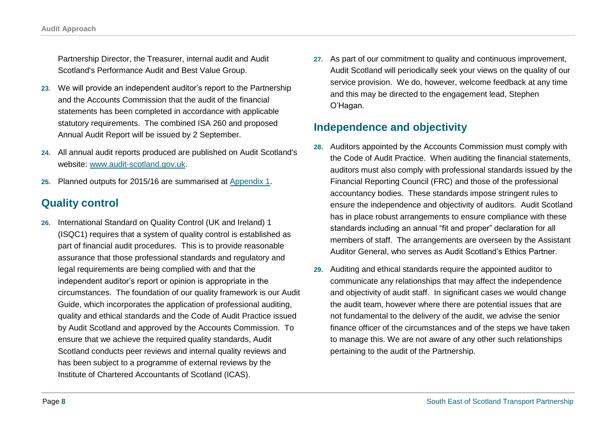Partnership Director, the Treasurer, internal audit and Audit Scotland's Performance Audit and Best Value Group.

- **23.** We will provide an independent auditor's report to the Partnership and the Accounts Commission that the audit of the financial statements has been completed in accordance with applicable statutory requirements. The combined ISA 260 and proposed Annual Audit Report will be issued by 2 September.
- **24.** All annual audit reports produced are published on Audit Scotland's website: [www.audit-scotland.gov.uk.](http://www.audit-scotland.gov.uk/)
- **25.** Planned outputs for 2015/16 are summarised at [Appendix 1.](#page-26-0)

# **Quality control**

**26.** International Standard on Quality Control (UK and Ireland) 1 (ISQC1) requires that a system of quality control is established as part of financial audit procedures. This is to provide reasonable assurance that those professional standards and regulatory and legal requirements are being complied with and that the independent auditor's report or opinion is appropriate in the circumstances. The foundation of our quality framework is our Audit Guide, which incorporates the application of professional auditing, quality and ethical standards and the Code of Audit Practice issued by Audit Scotland and approved by the Accounts Commission. To ensure that we achieve the required quality standards, Audit Scotland conducts peer reviews and internal quality reviews and has been subject to a programme of external reviews by the Institute of Chartered Accountants of Scotland (ICAS).

**27.** As part of our commitment to quality and continuous improvement, Audit Scotland will periodically seek your views on the quality of our service provision. We do, however, welcome feedback at any time and this may be directed to the engagement lead, Stephen O'Hagan.

## **Independence and objectivity**

- **28.** Auditors appointed by the Accounts Commission must comply with the Code of Audit Practice. When auditing the financial statements, auditors must also comply with professional standards issued by the Financial Reporting Council (FRC) and those of the professional accountancy bodies. These standards impose stringent rules to ensure the independence and objectivity of auditors. Audit Scotland has in place robust arrangements to ensure compliance with these standards including an annual "fit and proper" declaration for all members of staff. The arrangements are overseen by the Assistant Auditor General, who serves as Audit Scotland's Ethics Partner.
- **29.** Auditing and ethical standards require the appointed auditor to communicate any relationships that may affect the independence and objectivity of audit staff. In significant cases we would change the audit team, however where there are potential issues that are not fundamental to the delivery of the audit, we advise the senior finance officer of the circumstances and of the steps we have taken to manage this. We are not aware of any other such relationships pertaining to the audit of the Partnership.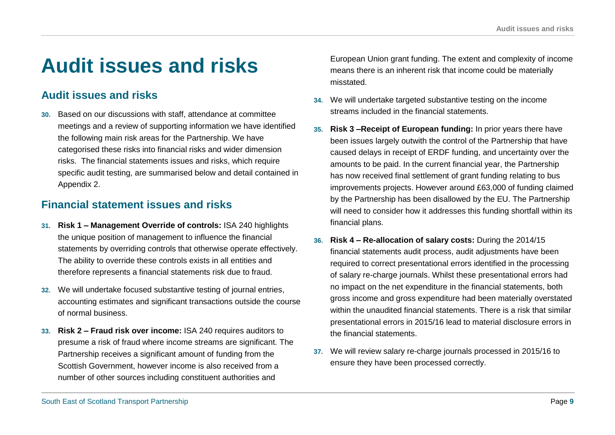# **Audit issues and risks**

# **Audit issues and risks**

**30.** Based on our discussions with staff, attendance at committee meetings and a review of supporting information we have identified the following main risk areas for the Partnership. We have categorised these risks into financial risks and wider dimension risks. The financial statements issues and risks, which require specific audit testing, are summarised below and detail contained in [Appendix 2.](#page-27-0)

# **Financial statement issues and risks**

- **31. Risk 1 – Management Override of controls:** ISA 240 highlights the unique position of management to influence the financial statements by overriding controls that otherwise operate effectively. The ability to override these controls exists in all entities and therefore represents a financial statements risk due to fraud.
- **32.** We will undertake focused substantive testing of journal entries, accounting estimates and significant transactions outside the course of normal business.
- **33. Risk 2 – Fraud risk over income:** ISA 240 requires auditors to presume a risk of fraud where income streams are significant. The Partnership receives a significant amount of funding from the Scottish Government, however income is also received from a number of other sources including constituent authorities and

European Union grant funding. The extent and complexity of income means there is an inherent risk that income could be materially misstated.

- **34.** We will undertake targeted substantive testing on the income streams included in the financial statements.
- **35. Risk 3 –Receipt of European funding:** In prior years there have been issues largely outwith the control of the Partnership that have caused delays in receipt of ERDF funding, and uncertainty over the amounts to be paid. In the current financial year, the Partnership has now received final settlement of grant funding relating to bus improvements projects. However around £63,000 of funding claimed by the Partnership has been disallowed by the EU. The Partnership will need to consider how it addresses this funding shortfall within its financial plans.
- **36. Risk 4 – Re-allocation of salary costs:** During the 2014/15 financial statements audit process, audit adjustments have been required to correct presentational errors identified in the processing of salary re-charge journals. Whilst these presentational errors had no impact on the net expenditure in the financial statements, both gross income and gross expenditure had been materially overstated within the unaudited financial statements. There is a risk that similar presentational errors in 2015/16 lead to material disclosure errors in the financial statements.
- **37.** We will review salary re-charge journals processed in 2015/16 to ensure they have been processed correctly.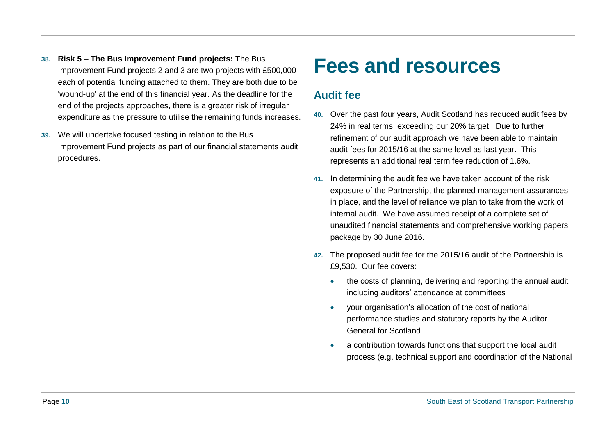- **38. Risk 5 – The Bus Improvement Fund projects:** The Bus Improvement Fund projects 2 and 3 are two projects with £500,000 each of potential funding attached to them. They are both due to be 'wound-up' at the end of this financial year. As the deadline for the end of the projects approaches, there is a greater risk of irregular expenditure as the pressure to utilise the remaining funds increases.
- **39.** We will undertake focused testing in relation to the Bus Improvement Fund projects as part of our financial statements audit procedures.

# **Fees and resources**

## **Audit fee**

- **40.** Over the past four years, Audit Scotland has reduced audit fees by 24% in real terms, exceeding our 20% target. Due to further refinement of our audit approach we have been able to maintain audit fees for 2015/16 at the same level as last year. This represents an additional real term fee reduction of 1.6%.
- **41.** In determining the audit fee we have taken account of the risk exposure of the Partnership, the planned management assurances in place, and the level of reliance we plan to take from the work of internal audit. We have assumed receipt of a complete set of unaudited financial statements and comprehensive working papers package by 30 June 2016.
- **42.** The proposed audit fee for the 2015/16 audit of the Partnership is £9,530. Our fee covers:
	- the costs of planning, delivering and reporting the annual audit including auditors' attendance at committees
	- your organisation's allocation of the cost of national performance studies and statutory reports by the Auditor General for Scotland
	- a contribution towards functions that support the local audit process (e.g. technical support and coordination of the National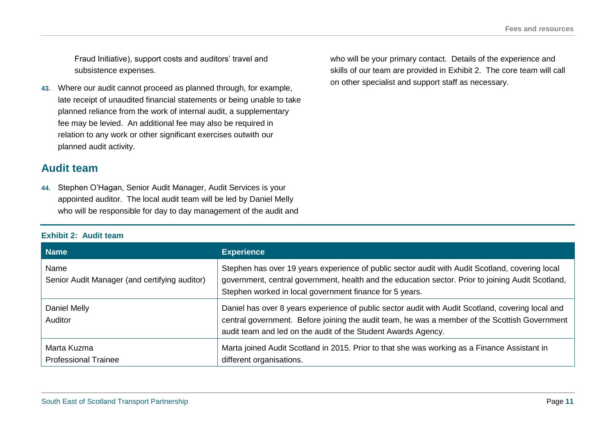Fraud Initiative), support costs and auditors' travel and subsistence expenses.

**43.** Where our audit cannot proceed as planned through, for example, late receipt of unaudited financial statements or being unable to take planned reliance from the work of internal audit, a supplementary fee may be levied. An additional fee may also be required in relation to any work or other significant exercises outwith our planned audit activity.

### **Audit team**

**44.** Stephen O'Hagan, Senior Audit Manager, Audit Services is your appointed auditor. The local audit team will be led by Daniel Melly who will be responsible for day to day management of the audit and

### <span id="page-25-0"></span>**Exhibit 2: Audit team**

who will be your primary contact. Details of the experience and skills of our team are provided in [Exhibit 2.](#page-25-0) The core team will call on other specialist and support staff as necessary.

| <b>Name</b>                                           | <b>Experience</b>                                                                                                                                                                                                                                                   |
|-------------------------------------------------------|---------------------------------------------------------------------------------------------------------------------------------------------------------------------------------------------------------------------------------------------------------------------|
| Name<br>Senior Audit Manager (and certifying auditor) | Stephen has over 19 years experience of public sector audit with Audit Scotland, covering local<br>government, central government, health and the education sector. Prior to joining Audit Scotland,<br>Stephen worked in local government finance for 5 years.     |
| Daniel Melly<br>Auditor                               | Daniel has over 8 years experience of public sector audit with Audit Scotland, covering local and<br>central government. Before joining the audit team, he was a member of the Scottish Government<br>audit team and led on the audit of the Student Awards Agency. |
| Marta Kuzma<br><b>Professional Trainee</b>            | Marta joined Audit Scotland in 2015. Prior to that she was working as a Finance Assistant in<br>different organisations.                                                                                                                                            |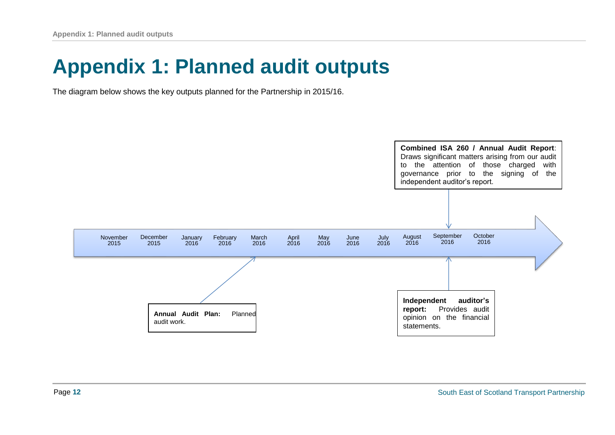# <span id="page-26-0"></span>**Appendix 1: Planned audit outputs**

The diagram below shows the key outputs planned for the Partnership in 2015/16.

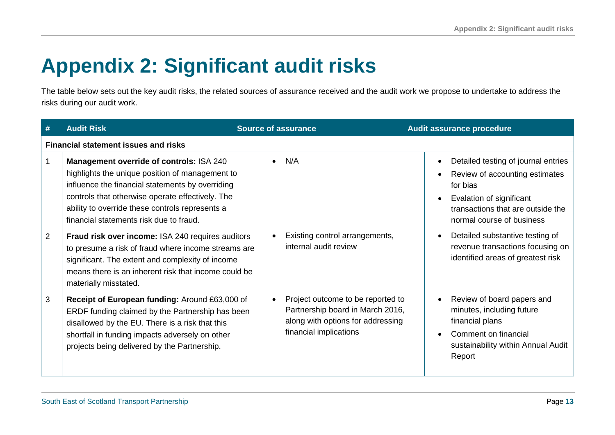# <span id="page-27-0"></span>**Appendix 2: Significant audit risks**

The table below sets out the key audit risks, the related sources of assurance received and the audit work we propose to undertake to address the risks during our audit work.

| #              | <b>Audit Risk</b>                                                                                                                                                                                                                                                                                 | <b>Source of assurance</b>                                                                                                           | Audit assurance procedure                                                                                                                                                       |
|----------------|---------------------------------------------------------------------------------------------------------------------------------------------------------------------------------------------------------------------------------------------------------------------------------------------------|--------------------------------------------------------------------------------------------------------------------------------------|---------------------------------------------------------------------------------------------------------------------------------------------------------------------------------|
|                | <b>Financial statement issues and risks</b>                                                                                                                                                                                                                                                       |                                                                                                                                      |                                                                                                                                                                                 |
|                | Management override of controls: ISA 240<br>highlights the unique position of management to<br>influence the financial statements by overriding<br>controls that otherwise operate effectively. The<br>ability to override these controls represents a<br>financial statements risk due to fraud. | N/A                                                                                                                                  | Detailed testing of journal entries<br>Review of accounting estimates<br>for bias<br>Evalation of significant<br>transactions that are outside the<br>normal course of business |
| $\overline{2}$ | Fraud risk over income: ISA 240 requires auditors<br>to presume a risk of fraud where income streams are<br>significant. The extent and complexity of income<br>means there is an inherent risk that income could be<br>materially misstated.                                                     | Existing control arrangements,<br>internal audit review                                                                              | Detailed substantive testing of<br>revenue transactions focusing on<br>identified areas of greatest risk                                                                        |
| 3              | Receipt of European funding: Around £63,000 of<br>ERDF funding claimed by the Partnership has been<br>disallowed by the EU. There is a risk that this<br>shortfall in funding impacts adversely on other<br>projects being delivered by the Partnership.                                          | Project outcome to be reported to<br>Partnership board in March 2016,<br>along with options for addressing<br>financial implications | Review of board papers and<br>minutes, including future<br>financial plans<br>Comment on financial<br>sustainability within Annual Audit<br>Report                              |